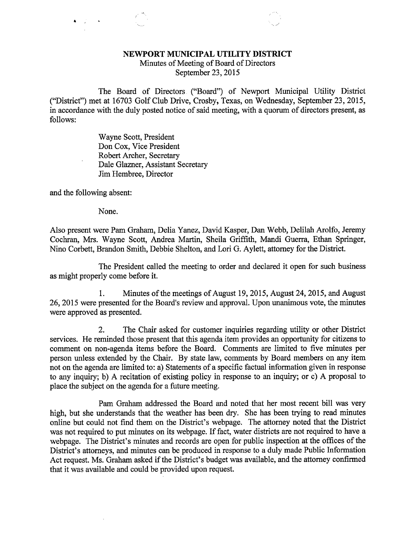## NEWPORT MUNICIPAL UTILITY DISTRICT

Minutes of Meeting of Board of Directors September 23, 2015

The Board of Directors ("Board") of Newport Municipal Utility District ("District") met at 16703 Golf Club Drive, Crosby, Texas, on Wednesday, September 23, 2015, in accordance with the duly posted notice of said meeting, with a quorum of directors present, as follows:

> Wayne Scott, President Don Cox, Vice President Robert Archer, Secretary Dale Glazner, Assistant Secretary Jim Hembree, Director

and the following absent:

None.

Also present were Pam Graham, Delia Yanez, David Kasper, Dan Webb, Delilah Arolfo, Jeremy Cochran, Mrs. Wayne Scott, Andrea Martin, Sheila Griffith, Mandi Guerra, Ethan Springer, Nino Corbett, Brandon Smith, Debbie Shelton, and Lori G. Aylett, attorney for the District.

The President called the meeting to order and declared it open for such business as might properly come before it.

1. Minutes of the meetings of August 19, 2015, August 24, 2015, and August 26, 2015 were presented for the Board's review and approval. Upon unanimous vote, the minutes were approved as presented.

2. The Chair asked for customer inquiries regarding utility or other District services. He reminded those present that this agenda item provides an opportunity for citizens to comment on non-agenda items before the Board. Comments are limited to five minutes per person unless extended by the Chair. By state law, comments by Board members on any item not on the agenda are limited to: a) Statements of a specific factual information given in response to any inquiry; b) A recitation of existing policy in response to an inquiry; or c) A proposal to place the subject on the agenda for a future meeting.

Pam Graham addressed the Board and noted that her most recent bill was very high, but she understands that the weather has been dry. She has been trying to read minutes online but could not find them on the District's webpage. The attorney noted that the District was not required to put minutes on its webpage. If fact, water districts are not required to have a webpage. The District's minutes and records are open for public inspection at the offices of the District's attorneys, and minutes can be produced in response to a duly made Public Information Act request. Ms. Graham asked if the District's budget was available, and the attorney confirmed that it was available and could be provided upon request.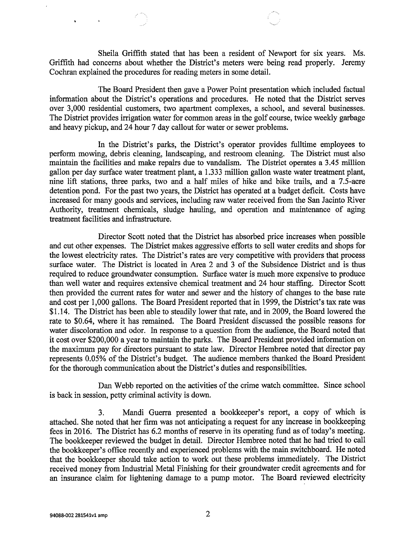Sheila Griffith stated that has been a resident of Newport for six years. Ms. Griffith had concerns about whether the District's meters were being read properly. Jeremy Cochran explained the procedures for reading meters in some detail.

The Board President then gave a Power Point presentation which included factual information about the District's operations and procedures. He noted that the District serves over 3,000 residential customers, two 'apartment complexes, a school, and several businesses. The District provides irrigation water for common areas in the golf course, twice weekly garbage and heavy pickup, and 24 hour 7 day callout for water or sewer problems.

In the District's parks, the District's operator provides fulltime employees to perform mowing, debris cleaning, landscaping, and restroom cleaning. The District must also maintain the facilities and make repairs due to vandalism. The District operates a 3.45 million gallon per day surface water treatment plant, a 1.333 million gallon waste water treatment plant, nine lift stations, three parks, two and a half miles of hike and bike trails, and a 7.5-acre detention pond. For the past two years, the District has operated at a budget deficit. Costs have increased for many goods and services, including raw water received from the San Jacinto River Authority, treatment chemicals, sludge hauling, and operation and maintenance of aging treatment facilities and infrastructure.

Director Scott noted that the District has absorbed price increases when possible and cut other expenses. The District makes aggressive efforts to sell water credits and shops for the lowest electricity rates. The District's rates are very competitive with providers that process surface water. The District is located in Area 2 and 3 of the Subsidence District and is thus required to reduce groundwater consumption. Surface water is much more expensive to produce than well water and requires extensive chemical treatment and 24 hour staffing. Director Scott then provided the current rates for water and sewer and the history of changes to the base rate and cost per 1,000 gallons. The Board President reported that in 1999, the District's tax rate was \$1.14. The District has been able to steadily lower that rate, and in 2009, the Board lowered the rate to \$0.64, where it has remained. The Board President discussed the possible reasons for water discoloration and odor. In response to a question from the audience, the Board noted that it cost over \$200,000 a year to maintain the parks. The Board President provided information on the maximum pay for directors pursuant to state law. Director Hembree noted that director pay represents 0.05% of the District's budget. The audience members thanked the Board President for the thorough communication about the District's duties and responsibilities.

Dan Webb reported on the activities of the crime watch committee. Since school is back in session, petty criminal activity is down.

3. Mandi Guerra presented a bookkeeper's report, a copy of which is attached. She noted that her firm was not anticipating a request for any increase in bookkeeping fees in 2016. The District has 6.2 months of reserve in its operating fund as of today's meeting. The bookkeeper reviewed the budget in detail. Director Hembree noted that he had tried to call the bookkeeper's office recently and experienced problems with the main switchboard. He noted that the bookkeeper should take action to work out these problems immediately. The District received money from Industrial Metal Finishing for their groundwater credit agreements and for an insurance claim for lightening damage to a pump motor. The Board reviewed electricity

 $\hat{\textbf{v}}$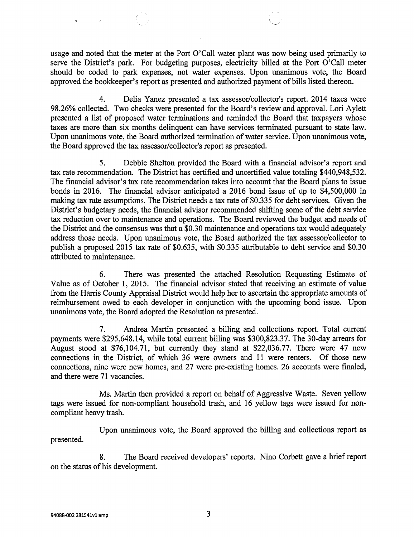usage and noted that the meter at the Port O'Call water plant was now being used primarily to serve the District's park. For budgeting purposes, electricity billed at the Port O'Call meter should be coded to park expenses, not water expenses. Upon unanimous vote, the Board approved the bookkeeper's report as presented and authorized payment of bills listed thereon.

4. Delia Yanez presented a tax assessor/collector's report. 2014 taxes were 98.26% collected. Two checks were presented for the Board's review and approval. Lori Aylett presented a list of proposed water terminations and reminded the Board that taxpayers whose taxes are more than six months delinquent can have services terminated pursuant to state law. Upon unanimous vote, the Board authorized termination of water service. Upon unanimous vote, the Board approved the tax assessor/collector's report as presented.

5. Debbie Shelton provided the Board with a financial advisor's report and tax rate recommendation. The District has certified and uncertified value totaling \$440,948,532. The financial advisor's tax rate recommendation takes into account that the Board plans to issue bonds in 2016. The financial advisor anticipated a 2016 bond issue of up to \$4,500,000 in making tax rate assumptions. The District needs a tax rate of \$0.335 for debt services. Given the District's budgetary needs, the financial advisor recommended shifting some of the debt service tax reduction over to maintenance and operations. The Board reviewed the budget and needs of the District and the consensus was that a \$0.30 maintenance and operations tax would adequately address those needs. Upon unanimous vote, the Board authorized the tax assessor/collector to publish a proposed 2015 tax rate of \$0.635, with \$0.335 attributable to debt service and \$0.30 attributed to maintenance.

6. There was presented the attached Resolution Requesting Estimate of Value as of October 1, 2015. The financial advisor stated that receiving an estimate of value from the Harris County Appraisal District would help her to ascertain the appropriate amounts of reimbursement owed to each developer in conjunction with the upcoming bond issue. Upon unanimous vote, the Board adopted the Resolution as presented.

7. Andrea Martin presented a billing and collections report. Total current payments were \$295,648.14, while total current billing was \$300,823.37. The 30-day arrears for August stood at \$76,104.71, but currently they stand at \$22,036.77. There were 47 new connections in the District, of which 36 were owners and 11 were renters. Of those new connections, nine were new homes, and 27 were pre-existing homes. 26 accounts were finaled, and there were 71 vacancies.

Ms. Martin then provided a report on behalf of Aggressive Waste. Seven yellow tags were issued for non-compliant household trash, and 16 yellow tags were issued for noncompliant heavy trash.

Upon unanimous vote, the Board approved the billing and collections report as presented.

8. The Board received developers' reports. Nino Corbett gave a brief report on the status of his development.

**Contract Contract**